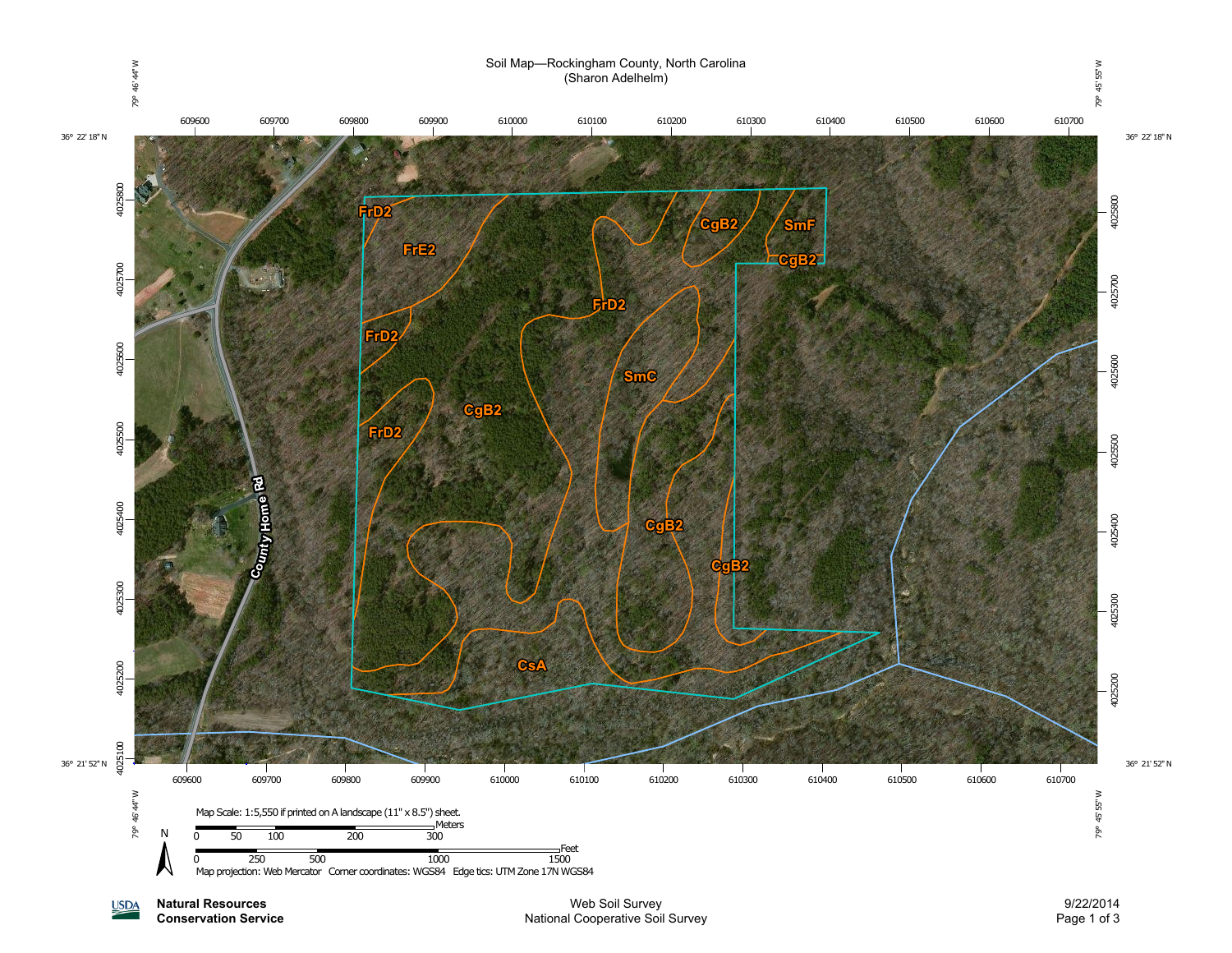

**Natural Resources USDA Conservation Service**

Web Soil Survey National Cooperative Soil Survey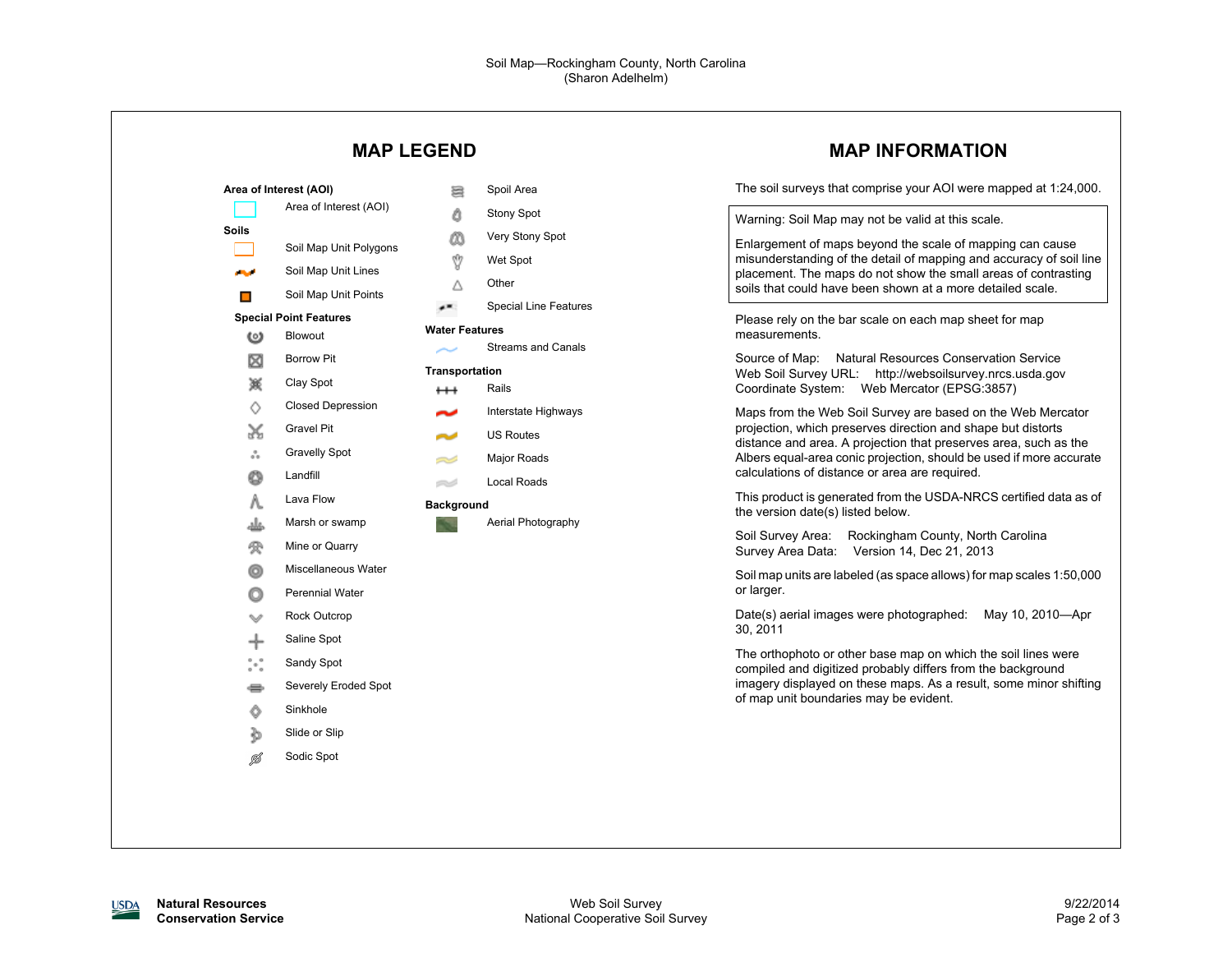